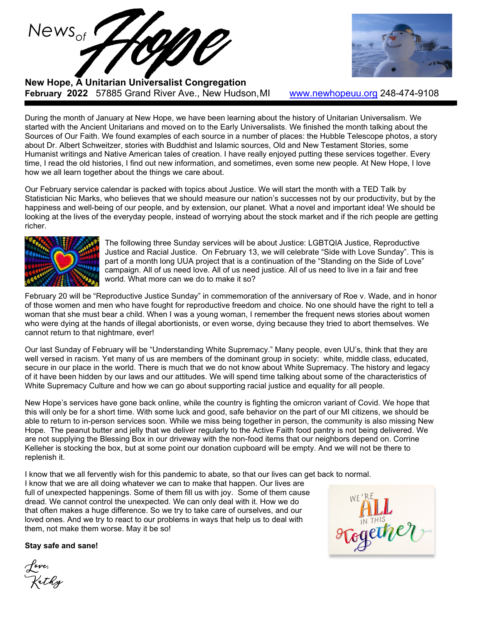

**New Hope, A Unitarian Universalist Congregation February 2022** 57885 Grand River Ave., New Hudson,MI [www.newhopeuu.org](http://www.newhopeuu.org/) 248-474-9108

During the month of January at New Hope, we have been learning about the history of Unitarian Universalism. We started with the Ancient Unitarians and moved on to the Early Universalists. We finished the month talking about the Sources of Our Faith. We found examples of each source in a number of places: the Hubble Telescope photos, a story about Dr. Albert Schweitzer, stories with Buddhist and Islamic sources, Old and New Testament Stories, some Humanist writings and Native American tales of creation. I have really enjoyed putting these services together. Every time, I read the old histories, I find out new information, and sometimes, even some new people. At New Hope, I love how we all learn together about the things we care about.

Our February service calendar is packed with topics about Justice. We will start the month with a TED Talk by Statistician Nic Marks, who believes that we should measure our nation's successes not by our productivity, but by the happiness and well-being of our people, and by extension, our planet. What a novel and important idea! We should be looking at the lives of the everyday people, instead of worrying about the stock market and if the rich people are getting richer.



The following three Sunday services will be about Justice: LGBTQIA Justice, Reproductive Justice and Racial Justice. On February 13, we will celebrate "Side with Love Sunday". This is part of a month long UUA project that is a continuation of the "Standing on the Side of Love" campaign. All of us need love. All of us need justice. All of us need to live in a fair and free world. What more can we do to make it so?

February 20 will be "Reproductive Justice Sunday" in commemoration of the anniversary of Roe v. Wade, and in honor of those women and men who have fought for reproductive freedom and choice. No one should have the right to tell a woman that she must bear a child. When I was a young woman, I remember the frequent news stories about women who were dying at the hands of illegal abortionists, or even worse, dying because they tried to abort themselves. We cannot return to that nightmare, ever!

Our last Sunday of February will be "Understanding White Supremacy." Many people, even UU's, think that they are well versed in racism. Yet many of us are members of the dominant group in society: white, middle class, educated, secure in our place in the world. There is much that we do not know about White Supremacy. The history and legacy of it have been hidden by our laws and our attitudes. We will spend time talking about some of the characteristics of White Supremacy Culture and how we can go about supporting racial justice and equality for all people.

New Hope's services have gone back online, while the country is fighting the omicron variant of Covid. We hope that this will only be for a short time. With some luck and good, safe behavior on the part of our MI citizens, we should be able to return to in-person services soon. While we miss being together in person, the community is also missing New Hope. The peanut butter and jelly that we deliver regularly to the Active Faith food pantry is not being delivered. We are not supplying the Blessing Box in our driveway with the non-food items that our neighbors depend on. Corrine Kelleher is stocking the box, but at some point our donation cupboard will be empty. And we will not be there to replenish it.

I know that we all fervently wish for this pandemic to abate, so that our lives can get back to normal.

I know that we are all doing whatever we can to make that happen. Our lives are full of unexpected happenings. Some of them fill us with joy. Some of them cause dread. We cannot control the unexpected. We can only deal with it. How we do that often makes a huge difference. So we try to take care of ourselves, and our loved ones. And we try to react to our problems in ways that help us to deal with them, not make them worse. May it be so!

**Stay safe and sane!**

Love, Kathy